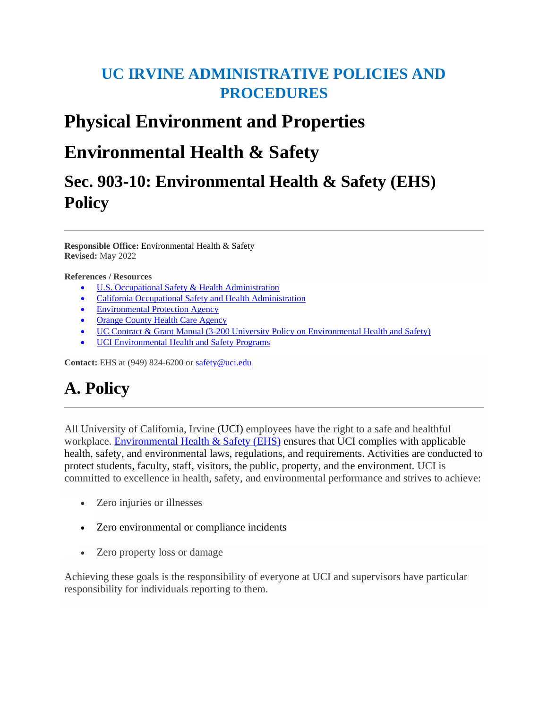# **UC IRVINE ADMINISTRATIVE POLICIES AND PROCEDURES**

# **Physical Environment and Properties**

# **Environmental Health & Safety**

# **Sec. 903-10: Environmental Health & Safety (EHS) Policy**

**Responsible Office:** Environmental Health & Safety **Revised:** May 2022

#### **References / Resources**

- [U.S. Occupational Safety & Health Administration](http://www.osha.gov/)
- [California Occupational Safety and Health Administration](https://www.dir.ca.gov/dosh/)
- [Environmental Protection Agency](https://www.epa.gov/)
- [Orange County Health Care Agency](https://www.ochealthinfo.com/)
- [UC Contract & Grant Manual \(3-200 University Policy on Environmental Health and Safety\)](https://www.ucop.edu/research-policy-analysis-coordination/resources-tools/contract-and-grant-manual/chapter3/chapter-3-200.html)
- [UCI Environmental Health and Safety Programs](https://www.ehs.uci.edu/programs/)

Contact: EHS at (949) 824-6200 or safety@uci.edu

# **A. Policy**

All University of California, Irvine (UCI) employees have the right to a safe and healthful workplace. [Environmental Health & Safety \(EHS\)](https://ehs.uci.edu/) ensures that UCI complies with applicable health, safety, and environmental laws, regulations, and requirements. Activities are conducted to protect students, faculty, staff, visitors, the public, property, and the environment. UCI is committed to excellence in health, safety, and environmental performance and strives to achieve:

- Zero injuries or illnesses
- Zero environmental or compliance incidents
- Zero property loss or damage

Achieving these goals is the responsibility of everyone at UCI and supervisors have particular responsibility for individuals reporting to them.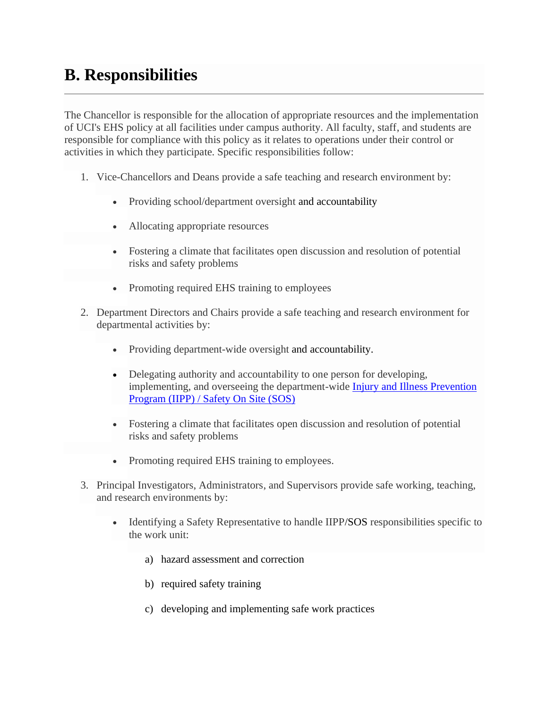# **B. Responsibilities**

The Chancellor is responsible for the allocation of appropriate resources and the implementation of UCI's EHS policy at all facilities under campus authority. All faculty, staff, and students are responsible for compliance with this policy as it relates to operations under their control or activities in which they participate. Specific responsibilities follow:

- 1. Vice-Chancellors and Deans provide a safe teaching and research environment by:
	- Providing school/department oversight and accountability
	- Allocating appropriate resources
	- Fostering a climate that facilitates open discussion and resolution of potential risks and safety problems
	- Promoting required EHS training to employees
- 2. Department Directors and Chairs provide a safe teaching and research environment for departmental activities by:
	- Providing department-wide oversight and accountability.
	- Delegating authority and accountability to one person for developing, implementing, and overseeing the department-wide [Injury and Illness Prevention](https://www.ehs.uci.edu/programs/_pdf/safety/iipp.pdf)  [Program \(IIPP\) / Safety On Site \(SOS\)](https://www.ehs.uci.edu/programs/_pdf/safety/iipp.pdf)
	- Fostering a climate that facilitates open discussion and resolution of potential risks and safety problems
	- Promoting required EHS training to employees.
- 3. Principal Investigators, Administrators, and Supervisors provide safe working, teaching, and research environments by:
	- Identifying a Safety Representative to handle IIPP/SOS responsibilities specific to the work unit:
		- a) hazard assessment and correction
		- b) required safety training
		- c) developing and implementing safe work practices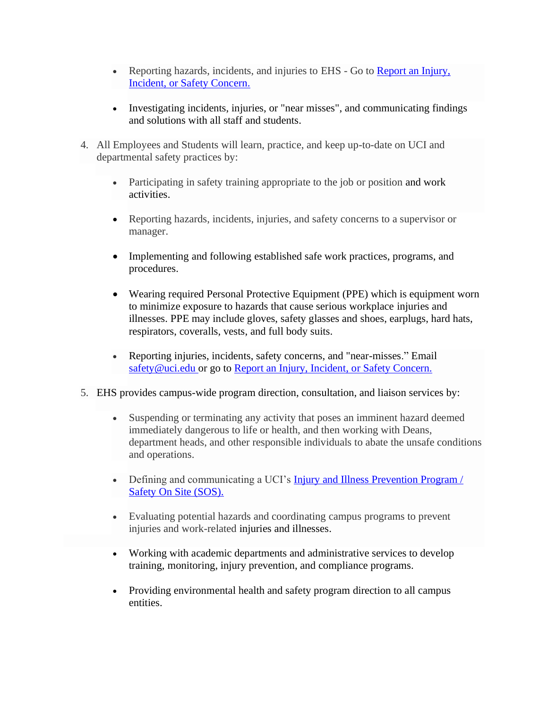- Reporting hazards, incidents, and injuries to EHS Go to [Report an Injury,](https://www.ehs.uci.edu/forms/report-injury/)  Incident, [or Safety Concern.](https://www.ehs.uci.edu/forms/report-injury/)
- Investigating incidents, injuries, or "near misses", and communicating findings and solutions with all staff and students.
- 4. All Employees and Students will learn, practice, and keep up-to-date on UCI and departmental safety practices by:
	- Participating in safety training appropriate to the job or position and work activities.
	- Reporting hazards, incidents, injuries, and safety concerns to a supervisor or manager.
	- Implementing and following established safe work practices, programs, and procedures.
	- Wearing required Personal Protective Equipment (PPE) which is equipment worn to minimize exposure to hazards that cause serious workplace injuries and illnesses. PPE may include gloves, safety glasses and shoes, earplugs, hard hats, respirators, coveralls, vests, and full body suits.
	- Reporting injuries, incidents, safety concerns, and "near-misses." Email [safety@uci.edu](mailto:safety@uci.edu) or go to [Report an Injury, Incident,](https://www.ehs.uci.edu/forms/report-injury/) or Safety Concern.
- 5. EHS provides campus-wide program direction, consultation, and liaison services by:
	- Suspending or terminating any activity that poses an imminent hazard deemed immediately dangerous to life or health, and then working with Deans, department heads, and other responsible individuals to abate the unsafe conditions and operations.
	- Defining and communicating a UCI's **Injury and Illness Prevention Program** / [Safety On Site \(SOS\).](https://www.ehs.uci.edu/safety/sos/index.php#:~:text=Safety%20On%20Site%20(SOS)%20fulfills,employees%20have%20at%20UC%20Irvine.)
	- Evaluating potential hazards and coordinating campus programs to prevent injuries and work-related injuries and illnesses.
	- Working with academic departments and administrative services to develop training, monitoring, injury prevention, and compliance programs.
	- Providing environmental health and safety program direction to all campus entities.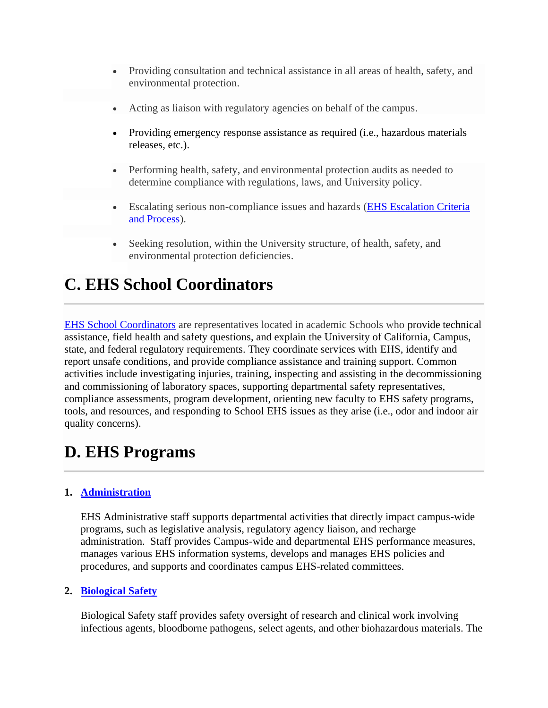- Providing consultation and technical assistance in all areas of health, safety, and environmental protection.
- Acting as liaison with regulatory agencies on behalf of the campus.
- Providing emergency response assistance as required (i.e., hazardous materials releases, etc.).
- Performing health, safety, and environmental protection audits as needed to determine compliance with regulations, laws, and University policy.
- Escalating serious non-compliance issues and hazards [\(EHS Escalation Criteria](https://www.ehs.uci.edu/research-safety/pdf/escalation-criteria-and-process.pdf)  [and Process\)](https://www.ehs.uci.edu/research-safety/pdf/escalation-criteria-and-process.pdf).
- Seeking resolution, within the University structure, of health, safety, and environmental protection deficiencies.

# **C. EHS School Coordinators**

EHS [School Coordinators](https://www.ehs.uci.edu/coordinators/index.php) are representatives located in academic Schools who provide technical assistance, field health and safety questions, and explain the University of California, Campus, state, and federal regulatory requirements. They coordinate services with EHS, identify and report unsafe conditions, and provide compliance assistance and training support. Common activities include investigating injuries, training, inspecting and assisting in the decommissioning and commissioning of laboratory spaces, supporting departmental safety representatives, compliance assessments, program development, orienting new faculty to EHS safety programs, tools, and resources, and responding to School EHS issues as they arise (i.e., odor and indoor air quality concerns).

# **D. EHS Programs**

## **1. [Administration](https://ehs.uci.edu/admin/index.php)**

EHS Administrative staff supports departmental activities that directly impact campus-wide programs, such as legislative analysis, regulatory agency liaison, and recharge administration. Staff provides Campus-wide and departmental EHS performance measures, manages various EHS information systems, develops and manages EHS policies and procedures, and supports and coordinates campus EHS-related committees.

## **2. [Biological Safety](https://ehs.uci.edu/research-safety/biosafety/index.php)**

Biological Safety staff provides safety oversight of research and clinical work involving infectious agents, bloodborne pathogens, select agents, and other biohazardous materials. The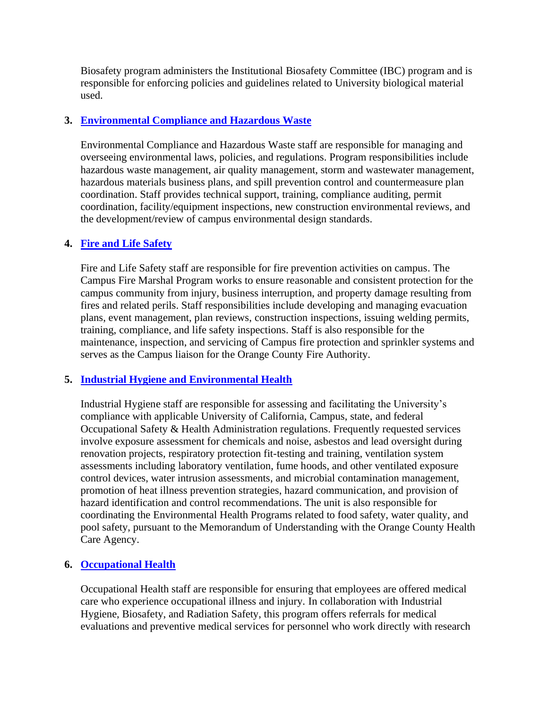Biosafety program administers the Institutional Biosafety Committee (IBC) program and is responsible for enforcing policies and guidelines related to University biological material used.

### **3. [Environmental Compliance and Hazardous Waste](https://ehs.uci.edu/enviro/index.php)**

Environmental Compliance and Hazardous Waste staff are responsible for managing and overseeing environmental laws, policies, and regulations. Program responsibilities include hazardous waste management, air quality management, storm and wastewater management, hazardous materials business plans, and spill prevention control and countermeasure plan coordination. Staff provides technical support, training, compliance auditing, permit coordination, facility/equipment inspections, new construction environmental reviews, and the development/review of campus environmental design standards.

### **4. [Fire and Life Safety](https://ehs.uci.edu/fire-safety/index.php)**

Fire and Life Safety staff are responsible for fire prevention activities on campus. The Campus Fire Marshal Program works to ensure reasonable and consistent protection for the campus community from injury, business interruption, and property damage resulting from fires and related perils. Staff responsibilities include developing and managing evacuation plans, event management, plan reviews, construction inspections, issuing welding permits, training, compliance, and life safety inspections. Staff is also responsible for the maintenance, inspection, and servicing of Campus fire protection and sprinkler systems and serves as the Campus liaison for the Orange County Fire Authority.

### **5. [Industrial Hygiene and Environmental Health](https://ehs.uci.edu/ih/index.php)**

Industrial Hygiene staff are responsible for assessing and facilitating the University's compliance with applicable University of California, Campus, state, and federal Occupational Safety & Health Administration regulations. Frequently requested services involve exposure assessment for chemicals and noise, asbestos and lead oversight during renovation projects, respiratory protection fit-testing and training, ventilation system assessments including laboratory ventilation, fume hoods, and other ventilated exposure control devices, water intrusion assessments, and microbial contamination management, promotion of heat illness prevention strategies, hazard communication, and provision of hazard identification and control recommendations. The unit is also responsible for coordinating the Environmental Health Programs related to food safety, water quality, and pool safety, pursuant to the Memorandum of Understanding with the Orange County Health Care Agency.

### **6. [Occupational Health](https://ehs.uci.edu/research-safety/occupational-health/index.php)**

Occupational Health staff are responsible for ensuring that employees are offered medical care who experience occupational illness and injury. In collaboration with Industrial Hygiene, Biosafety, and Radiation Safety, this program offers referrals for medical evaluations and preventive medical services for personnel who work directly with research